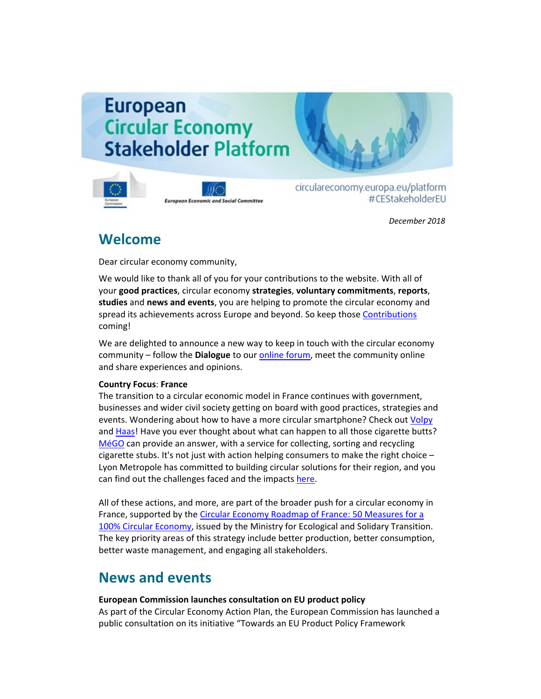# **European Circular Economy Stakeholder Platform**



**European Economic and Social Committee** 

circulareconomy.europa.eu/platform #CEStakeholderEU

*December 2018*

### **Welcome**

Dear circular economy community,

We would like to thank all of you for your contributions to the website. With all of your **good practices**, circular economy **strategies**, **voluntary commitments**, **reports**, **studies** and **news and events**, you are helping to promote the circular economy and spread its achievements across Europe and beyond. So keep thos[e Contributions](http://cdlink.eesc.europa.eu/l/c294911b58dc42fc8452799842ff7a76/C930EA9E/2C104358/122018n) coming!

We are delighted to announce a new way to keep in touch with the circular economy community – follow the **Dialogue** to our [online forum,](http://cdlink.eesc.europa.eu/l/c294911b58dc42fc8452799842ff7a76/C930EA9E/21C0D673/122018n) meet the community online and share experiences and opinions.

#### **Country Focus**: **France**

The transition to a circular economic model in France continues with government, businesses and wider civil society getting on board with good practices, strategies and events. Wondering about how to have a more circular smartphone? Check out *Volpy* and [Haas!](http://cdlink.eesc.europa.eu/l/c294911b58dc42fc8452799842ff7a76/C930EA9E/AA7FFD75/122018n) Have you ever thought about what can happen to all those cigarette butts? [MéGO](http://cdlink.eesc.europa.eu/l/c294911b58dc42fc8452799842ff7a76/C930EA9E/6BDDD827/122018n) can provide an answer, with a service for collecting, sorting and recycling cigarette stubs. It's not just with action helping consumers to make the right choice  $-$ Lyon Metropole has committed to building circular solutions for their region, and you can find out the challenges faced and the impact[s here.](http://cdlink.eesc.europa.eu/l%20/c294911b58dc42fc8452799842ff7a76/C930EA9E/BA6C791F/122018n)

All of these actions, and more, are part of the broader push for a circular economy in France, supported by the Circular Economy Roadmap of France: 50 Measures for a [100% Circular Economy,](http://cdlink.eesc.europa.eu/l/c294911b58dc42fc8452799842ff7a76/C930EA9E/20597772/122018n) issued by the Ministry for Ecological and Solidary Transition. The key priority areas of this strategy include better production, better consumption, better waste management, and engaging all stakeholders.

## **News and events**

#### **European Commission launches consultation on EU product policy**

As part of the Circular Economy Action Plan, the European Commission has launched a public consultation on its initiative "Towards an EU Product Policy Framework